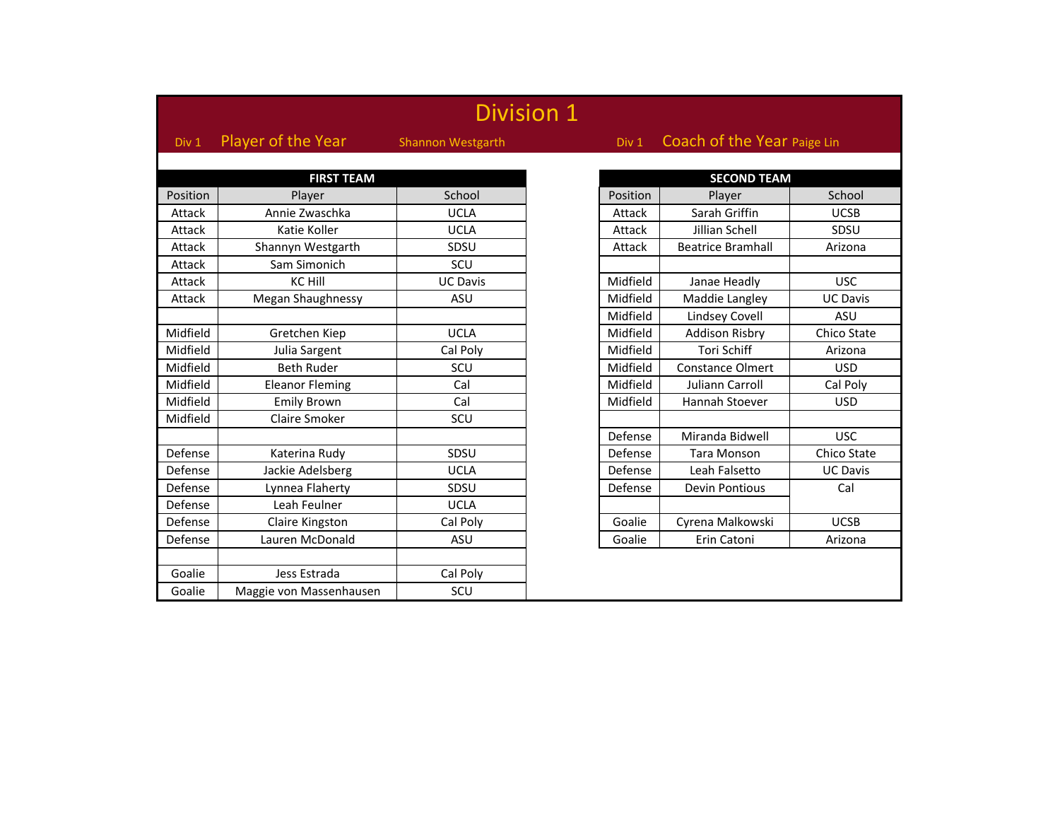| <b>Division 1</b> |                         |                          |  |          |                             |                 |  |
|-------------------|-------------------------|--------------------------|--|----------|-----------------------------|-----------------|--|
| Div 1             | Player of the Year      | <b>Shannon Westgarth</b> |  | Div 1    | Coach of the Year Paige Lin |                 |  |
|                   |                         |                          |  |          |                             |                 |  |
|                   | <b>FIRST TEAM</b>       |                          |  |          | <b>SECOND TEAM</b>          |                 |  |
| Position          | Player                  | School                   |  | Position | Player                      | School          |  |
| Attack            | Annie Zwaschka          | <b>UCLA</b>              |  | Attack   | Sarah Griffin               | <b>UCSB</b>     |  |
| Attack            | Katie Koller            | <b>UCLA</b>              |  | Attack   | Jillian Schell              | SDSU            |  |
| Attack            | Shannyn Westgarth       | SDSU                     |  | Attack   | <b>Beatrice Bramhall</b>    | Arizona         |  |
| Attack            | Sam Simonich            | SCU                      |  |          |                             |                 |  |
| Attack            | <b>KC Hill</b>          | <b>UC Davis</b>          |  | Midfield | Janae Headly                | <b>USC</b>      |  |
| Attack            | Megan Shaughnessy       | ASU                      |  | Midfield | Maddie Langley              | <b>UC Davis</b> |  |
|                   |                         |                          |  | Midfield | <b>Lindsey Covell</b>       | ASU             |  |
| Midfield          | Gretchen Kiep           | <b>UCLA</b>              |  | Midfield | <b>Addison Risbry</b>       | Chico State     |  |
| Midfield          | Julia Sargent           | Cal Poly                 |  | Midfield | <b>Tori Schiff</b>          | Arizona         |  |
| Midfield          | <b>Beth Ruder</b>       | SCU                      |  | Midfield | <b>Constance Olmert</b>     | <b>USD</b>      |  |
| Midfield          | <b>Eleanor Fleming</b>  | Cal                      |  | Midfield | Juliann Carroll             | Cal Poly        |  |
| Midfield          | <b>Emily Brown</b>      | Cal                      |  | Midfield | Hannah Stoever              | <b>USD</b>      |  |
| Midfield          | Claire Smoker           | SCU                      |  |          |                             |                 |  |
|                   |                         |                          |  | Defense  | Miranda Bidwell             | <b>USC</b>      |  |
| Defense           | Katerina Rudy           | SDSU                     |  | Defense  | <b>Tara Monson</b>          | Chico State     |  |
| Defense           | Jackie Adelsberg        | <b>UCLA</b>              |  | Defense  | Leah Falsetto               | <b>UC Davis</b> |  |
| Defense           | Lynnea Flaherty         | SDSU                     |  | Defense  | <b>Devin Pontious</b>       | Cal             |  |
| Defense           | Leah Feulner            | <b>UCLA</b>              |  |          |                             |                 |  |
| Defense           | Claire Kingston         | Cal Poly                 |  | Goalie   | Cyrena Malkowski            | <b>UCSB</b>     |  |
| Defense           | Lauren McDonald         | <b>ASU</b>               |  | Goalie   | Erin Catoni                 | Arizona         |  |
|                   |                         |                          |  |          |                             |                 |  |
| Goalie            | Jess Estrada            | Cal Poly                 |  |          |                             |                 |  |
| Goalie            | Maggie von Massenhausen | SCU                      |  |          |                             |                 |  |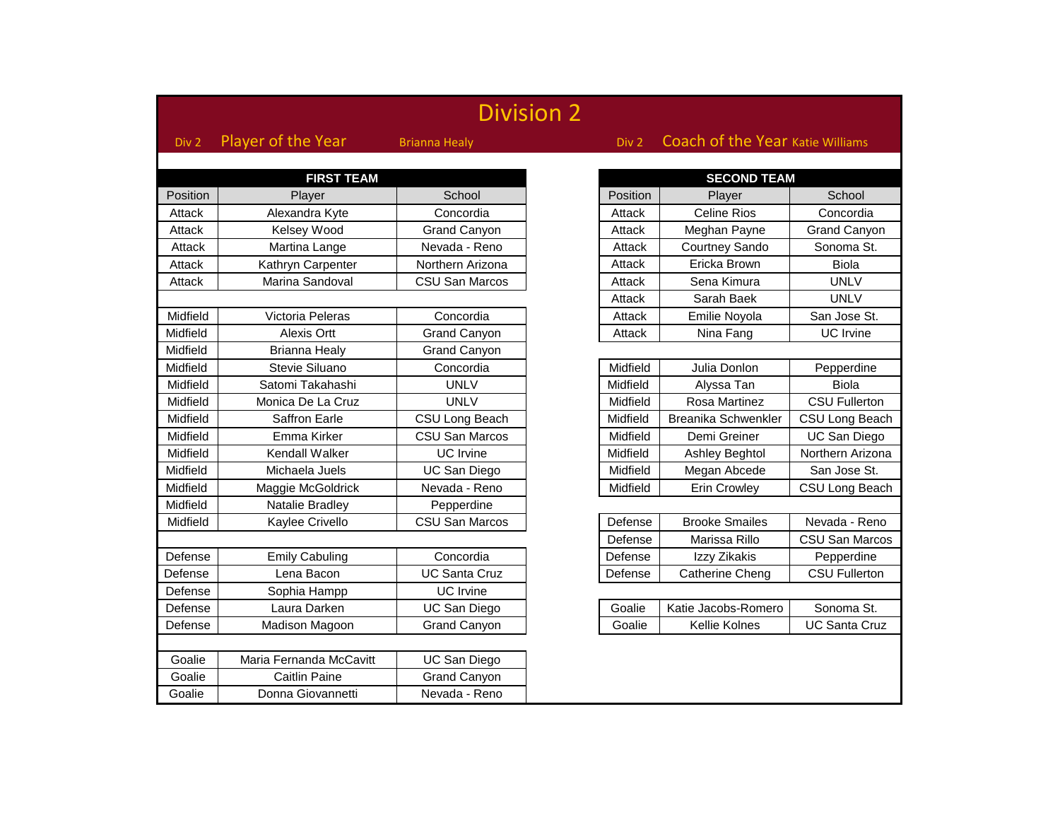| <b>Division 2</b> |                         |                       |  |                    |                                  |                     |
|-------------------|-------------------------|-----------------------|--|--------------------|----------------------------------|---------------------|
| Div 2             | Player of the Year      | <b>Brianna Healy</b>  |  | Div 2              | Coach of the Year Katie Williams |                     |
|                   |                         |                       |  |                    |                                  |                     |
|                   | <b>FIRST TEAM</b>       |                       |  | <b>SECOND TEAM</b> |                                  |                     |
| Position          | Player                  | School                |  | Position           | Player                           | School              |
| Attack            | Alexandra Kyte          | Concordia             |  | Attack             | <b>Celine Rios</b>               | Concordia           |
| Attack            | Kelsey Wood             | <b>Grand Canyon</b>   |  | Attack             | Meghan Payne                     | Grand Canyo         |
| Attack            | Martina Lange           | Nevada - Reno         |  | Attack             | Courtney Sando                   | Sonoma St.          |
| Attack            | Kathryn Carpenter       | Northern Arizona      |  | Attack             | Ericka Brown                     | <b>Biola</b>        |
| Attack            | Marina Sandoval         | <b>CSU San Marcos</b> |  | Attack             | Sena Kimura                      | <b>UNLV</b>         |
|                   |                         |                       |  | Attack             | Sarah Baek                       | <b>UNLV</b>         |
| Midfield          | Victoria Peleras        | Concordia             |  | Attack             | Emilie Noyola                    | San Jose St.        |
| Midfield          | Alexis Ortt             | <b>Grand Canyon</b>   |  | Attack             | Nina Fang                        | UC Irvine           |
| Midfield          | <b>Brianna Healy</b>    | <b>Grand Canyon</b>   |  |                    |                                  |                     |
| Midfield          | Stevie Siluano          | Concordia             |  | Midfield           | Julia Donlon                     | Pepperdine          |
| Midfield          | Satomi Takahashi        | <b>UNLV</b>           |  | Midfield           | Alyssa Tan                       | <b>Biola</b>        |
| Midfield          | Monica De La Cruz       | <b>UNLV</b>           |  | Midfield           | Rosa Martinez                    | <b>CSU Fullerto</b> |
| Midfield          | Saffron Earle           | CSU Long Beach        |  | Midfield           | Breanika Schwenkler              | CSU Long Bea        |
| Midfield          | Emma Kirker             | <b>CSU San Marcos</b> |  | Midfield           | Demi Greiner                     | <b>UC San Dieg</b>  |
| Midfield          | Kendall Walker          | UC Irvine             |  | Midfield           | Ashley Beghtol                   | Northern Arizo      |
| Midfield          | Michaela Juels          | <b>UC San Diego</b>   |  | Midfield           | Megan Abcede                     | San Jose St.        |
| Midfield          | Maggie McGoldrick       | Nevada - Reno         |  | Midfield           | <b>Erin Crowley</b>              | CSU Long Bea        |
| Midfield          | Natalie Bradley         | Pepperdine            |  |                    |                                  |                     |
| Midfield          | Kaylee Crivello         | CSU San Marcos        |  | Defense            | <b>Brooke Smailes</b>            | Nevada - Rer        |
|                   |                         |                       |  | Defense            | Marissa Rillo                    | CSU San Maro        |
| Defense           | <b>Emily Cabuling</b>   | Concordia             |  | Defense            | Izzy Zikakis                     | Pepperdine          |
| Defense           | Lena Bacon              | <b>UC Santa Cruz</b>  |  | Defense            | Catherine Cheng                  | <b>CSU Fullerto</b> |
| Defense           | Sophia Hampp            | <b>UC</b> Irvine      |  |                    |                                  |                     |
| Defense           | Laura Darken            | UC San Diego          |  | Goalie             | Katie Jacobs-Romero              | Sonoma St.          |
| Defense           | Madison Magoon          | <b>Grand Canyon</b>   |  | Goalie             | Kellie Kolnes                    | UC Santa Cru        |
|                   |                         |                       |  |                    |                                  |                     |
| Goalie            | Maria Fernanda McCavitt | UC San Diego          |  |                    |                                  |                     |
| Goalie            | <b>Caitlin Paine</b>    | <b>Grand Canyon</b>   |  |                    |                                  |                     |
| Goalie            | Donna Giovannetti       | Nevada - Reno         |  |                    |                                  |                     |

Grand Canyon

CSU Fullerton **CSU Long Beach** UC San Diego Morthern Arizona San Jose St. **CSU Long Beach** 

Nevada - Reno CSU San Marcos

CSU Fullerton

**UC Santa Cruz**